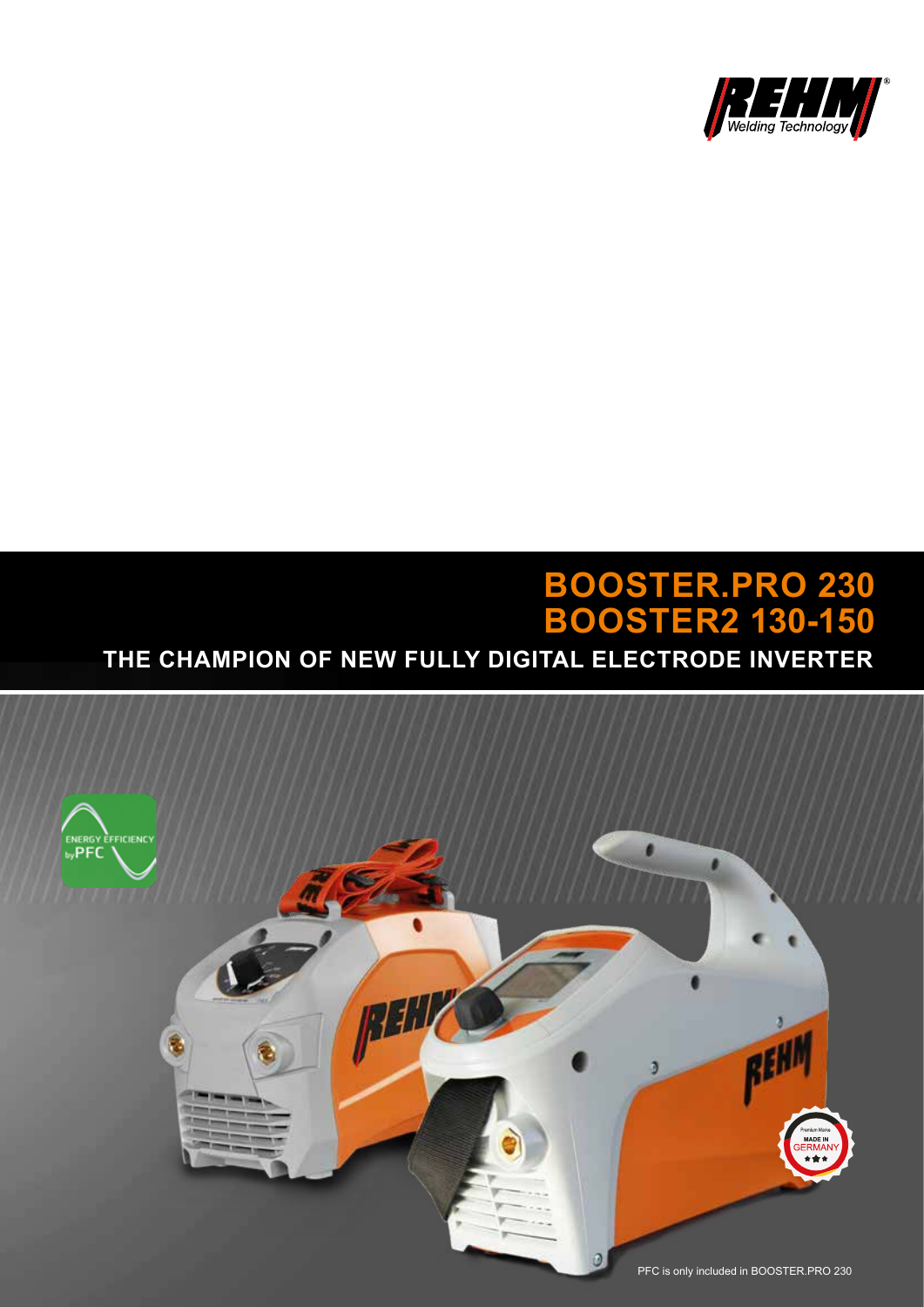

# **BOOSTER2 130-150 BOOSTER.PRO 230**

# **THE CHAMPION OF NEW FULLY DIGITAL ELECTRODE INVERTER**

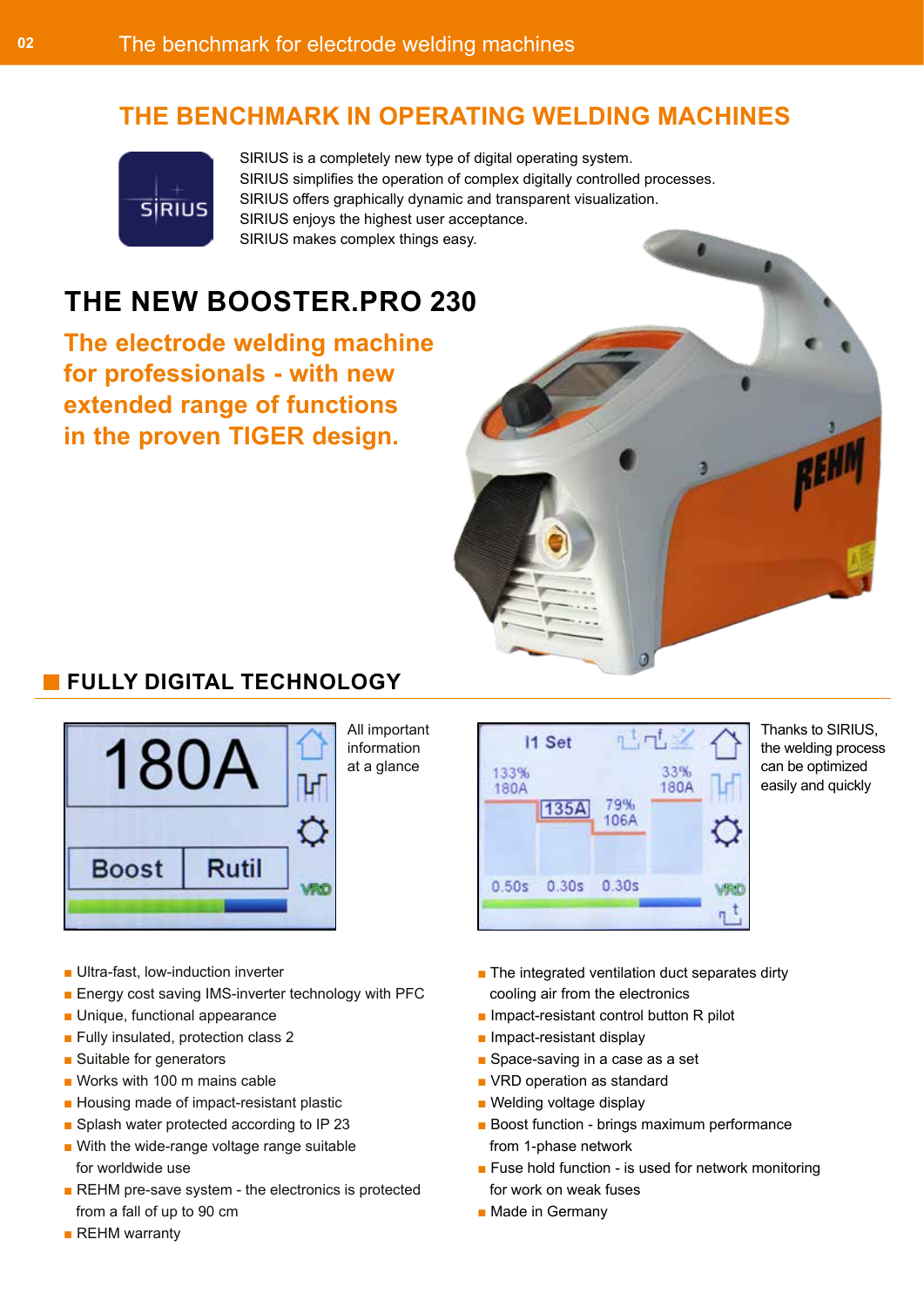# **THE BENCHMARK IN OPERATING WELDING MACHINES**



SIRIUS is a completely new type of digital operating system. SIRIUS simplifies the operation of complex digitally controlled processes. SIRIUS offers graphically dynamic and transparent visualization. SIRIUS enjoys the highest user acceptance. SIRIUS makes complex things easy.

# **THE NEW BOOSTER.PRO 230**

**The electrode welding machine for professionals - with new extended range of functions in the proven TIGER design.**



# **FULLY DIGITAL TECHNOLOGY**



All important information at a glance



Thanks to SIRIUS, the welding process can be optimized easily and quickly

- Ultra-fast, low-induction inverter
- Energy cost saving IMS-inverter technology with PFC
- Unique, functional appearance
- Fully insulated, protection class 2
- Suitable for generators
- Works with 100 m mains cable
- Housing made of impact-resistant plastic
- Splash water protected according to IP 23
- With the wide-range voltage range suitable for worldwide use
- REHM pre-save system the electronics is protected from a fall of up to 90 cm
- REHM warranty
- The integrated ventilation duct separates dirty cooling air from the electronics
- Impact-resistant control button R pilot
- Impact-resistant display
- Space-saving in a case as a set
- VRD operation as standard
- Welding voltage display
- Boost function brings maximum performance from 1-phase network
- Fuse hold function is used for network monitoring for work on weak fuses
- Made in Germany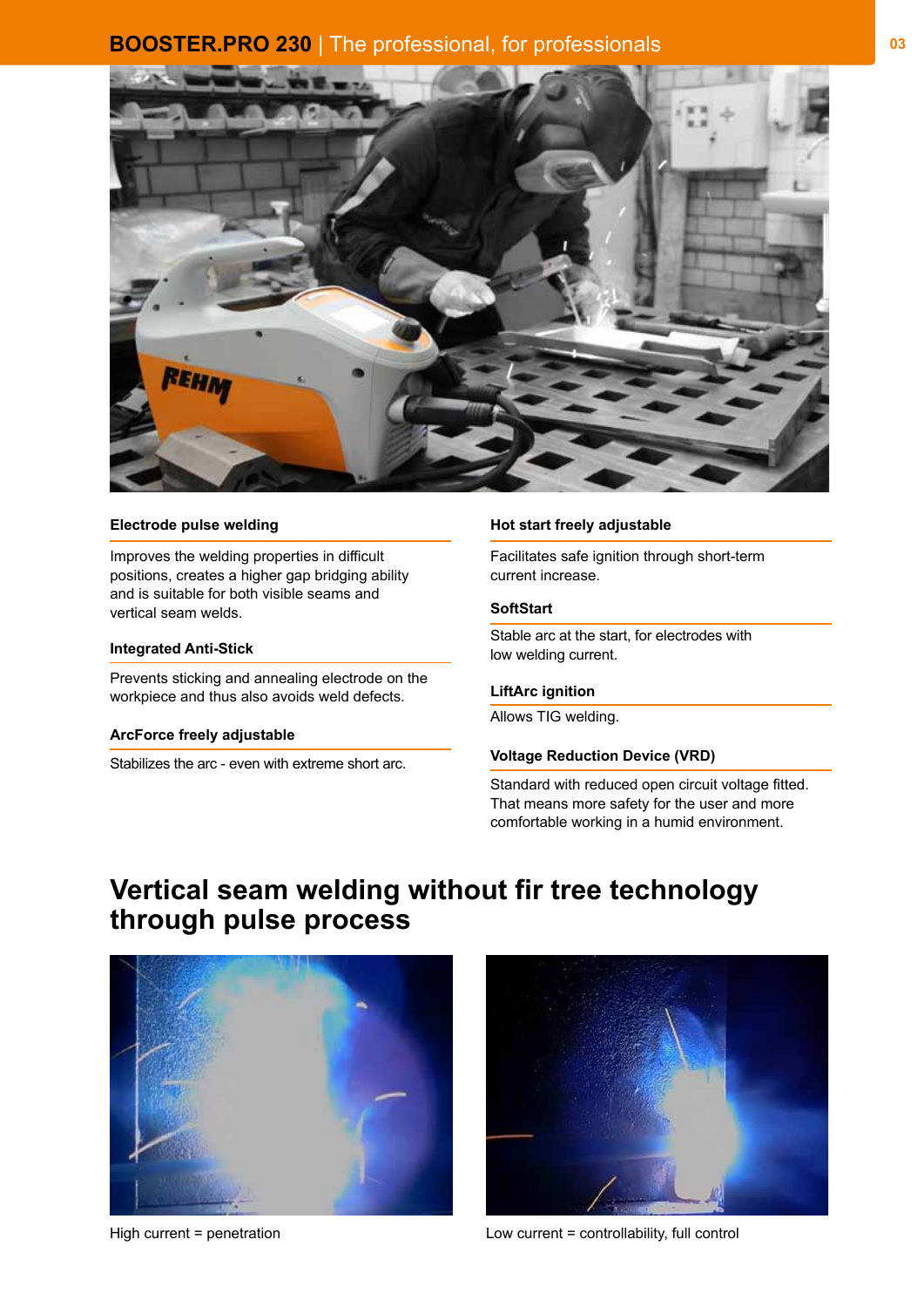# **BOOSTER.PRO 230** | The professional, for professionals



### **Electrode pulse welding**

Improves the welding properties in difficult positions, creates a higher gap bridging ability and is suitable for both visible seams and vertical seam welds.

### **Integrated Anti-Stick**

Prevents sticking and annealing electrode on the workpiece and thus also avoids weld defects.

### **ArcForce freely adjustable**

Stabilizes the arc - even with extreme short arc.

### **Hot start freely adjustable**

Facilitates safe ignition through short-term current increase.

### **SoftStart**

Stable arc at the start, for electrodes with low welding current.

### **LiftArc ignition**

Allows TIG welding.

### **Voltage Reduction Device (VRD)**

Standard with reduced open circuit voltage fitted. That means more safety for the user and more comfortable working in a humid environment.

# **Vertical seam welding without fir tree technology through pulse process**





High current = penetration Low current = controllability, full control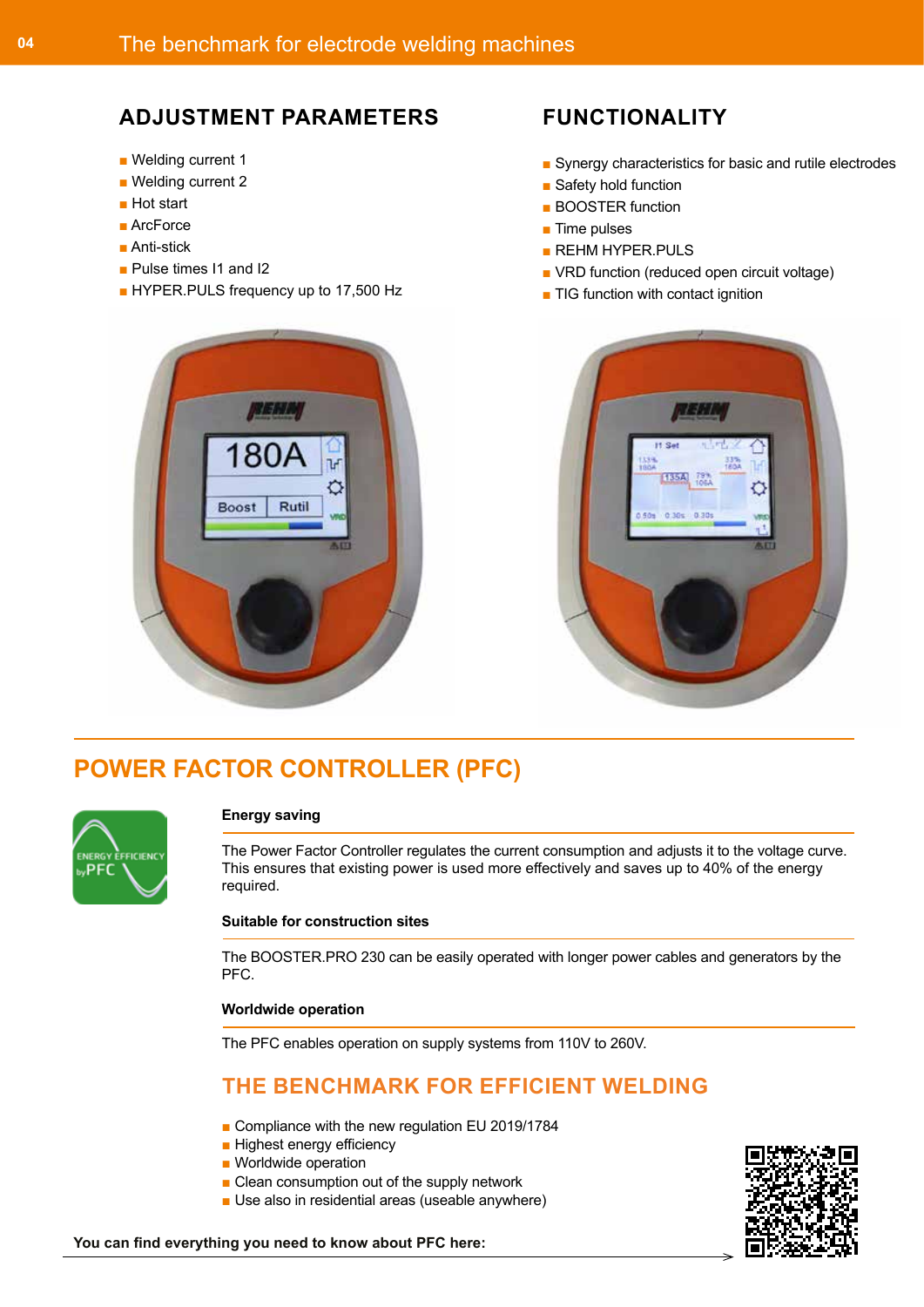## **ADJUSTMENT PARAMETERS**

- Welding current 1
- Welding current 2
- Hot start
- ArcForce
- Anti-stick
- Pulse times I1 and I2
- HYPER.PULS frequency up to 17,500 Hz

# **FUNCTIONALITY**

- Synergy characteristics for basic and rutile electrodes
- Safety hold function
- BOOSTER function
- Time pulses
- REHM HYPER.PULS
- VRD function (reduced open circuit voltage)
- TIG function with contact ignition





# **POWER FACTOR CONTROLLER (PFC)**



### **Energy saving**

The Power Factor Controller regulates the current consumption and adjusts it to the voltage curve. This ensures that existing power is used more effectively and saves up to 40% of the energy required.

### **Suitable for construction sites**

The BOOSTER.PRO 230 can be easily operated with longer power cables and generators by the PFC.

### **Worldwide operation**

The PFC enables operation on supply systems from 110V to 260V.

# **THE BENCHMARK FOR EFFICIENT WELDING**

- Compliance with the new regulation EU 2019/1784
- Highest energy efficiency
- Worldwide operation
- Clean consumption out of the supply network
- Use also in residential areas (useable anywhere)

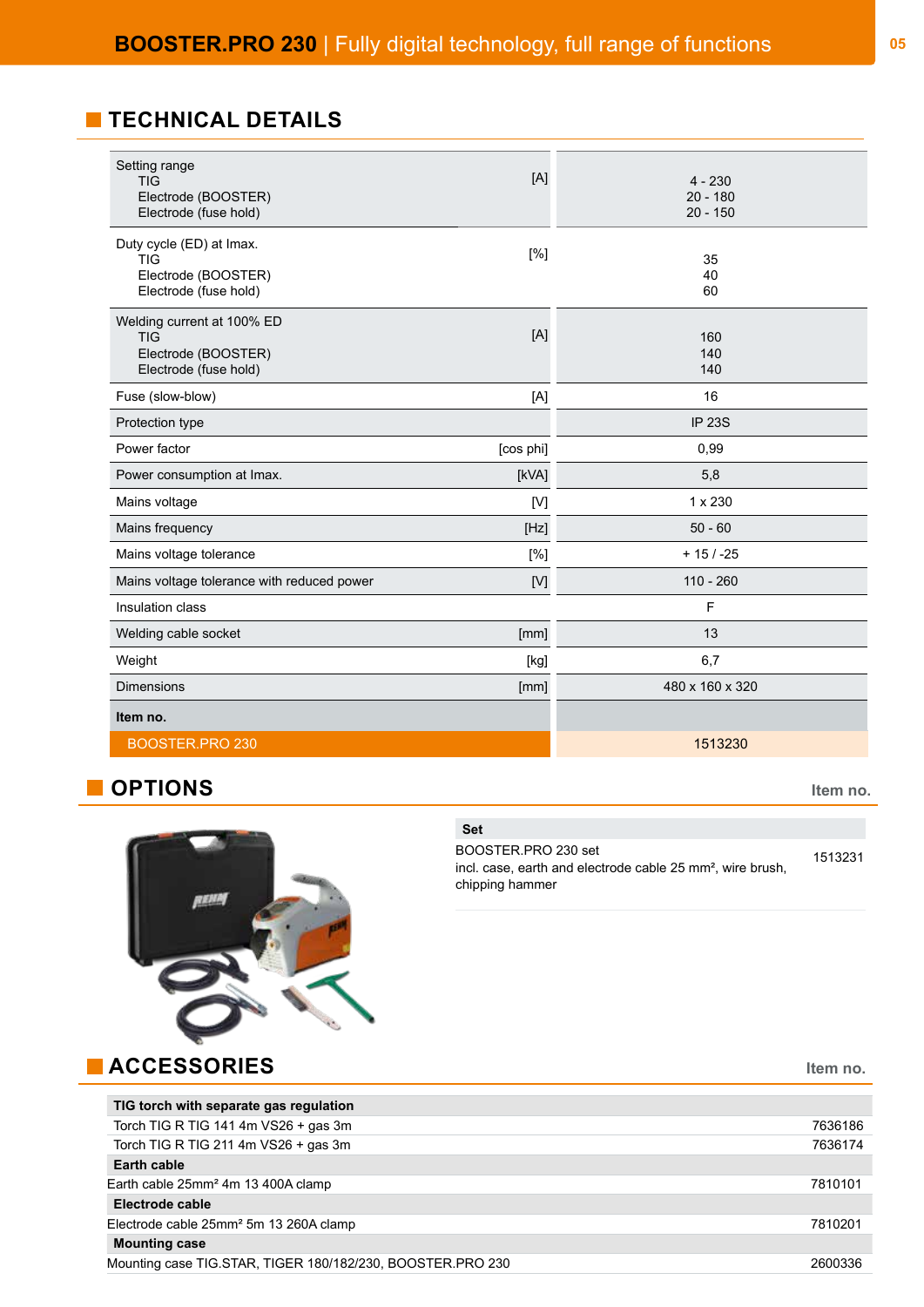# **TECHNICAL DETAILS**

| Setting range<br><b>TIG</b><br>Electrode (BOOSTER)<br>Electrode (fuse hold)              | [A]       | $4 - 230$<br>$20 - 180$<br>$20 - 150$ |
|------------------------------------------------------------------------------------------|-----------|---------------------------------------|
| Duty cycle (ED) at Imax.<br>TIG<br>Electrode (BOOSTER)<br>Electrode (fuse hold)          | [%]       | 35<br>40<br>60                        |
| Welding current at 100% ED<br><b>TIG</b><br>Electrode (BOOSTER)<br>Electrode (fuse hold) | [A]       | 160<br>140<br>140                     |
| Fuse (slow-blow)                                                                         | [A]       | 16                                    |
| Protection type                                                                          |           | <b>IP 23S</b>                         |
| Power factor                                                                             | [cos phi] | 0,99                                  |
| Power consumption at Imax.                                                               | [kVA]     | 5,8                                   |
| Mains voltage                                                                            | [V]       | 1 x 230                               |
| Mains frequency                                                                          | [Hz]      | $50 - 60$                             |
| Mains voltage tolerance                                                                  | [%]       | $+15/ -25$                            |
| Mains voltage tolerance with reduced power                                               | [V]       | $110 - 260$                           |
| Insulation class                                                                         |           | F                                     |
| Welding cable socket                                                                     | [mm]      | 13                                    |
| Weight                                                                                   | [kg]      | 6,7                                   |
| <b>Dimensions</b>                                                                        | [mm]      | 480 x 160 x 320                       |
| Item no.                                                                                 |           |                                       |
| <b>BOOSTER.PRO 230</b>                                                                   |           | 1513230                               |

# **OPTIONS** Item no.



**Set** BOOSTER.PRO 230 set incl. case, earth and electrode cable 25 mm², wire brush, chipping hammer 1513231

| <b>ACCESSORIES</b>                                         | Item no. |
|------------------------------------------------------------|----------|
| TIG torch with separate gas regulation                     |          |
| Torch TIG R TIG $141$ 4m VS26 + gas 3m                     | 7636186  |
| Torch TIG R TIG 211 4m VS26 + gas 3m                       | 7636174  |
| Earth cable                                                |          |
| Earth cable 25mm <sup>2</sup> 4m 13 400A clamp             | 7810101  |
| Electrode cable                                            |          |
| Electrode cable 25mm <sup>2</sup> 5m 13 260A clamp         | 7810201  |
| <b>Mounting case</b>                                       |          |
| Mounting case TIG.STAR, TIGER 180/182/230, BOOSTER.PRO 230 | 2600336  |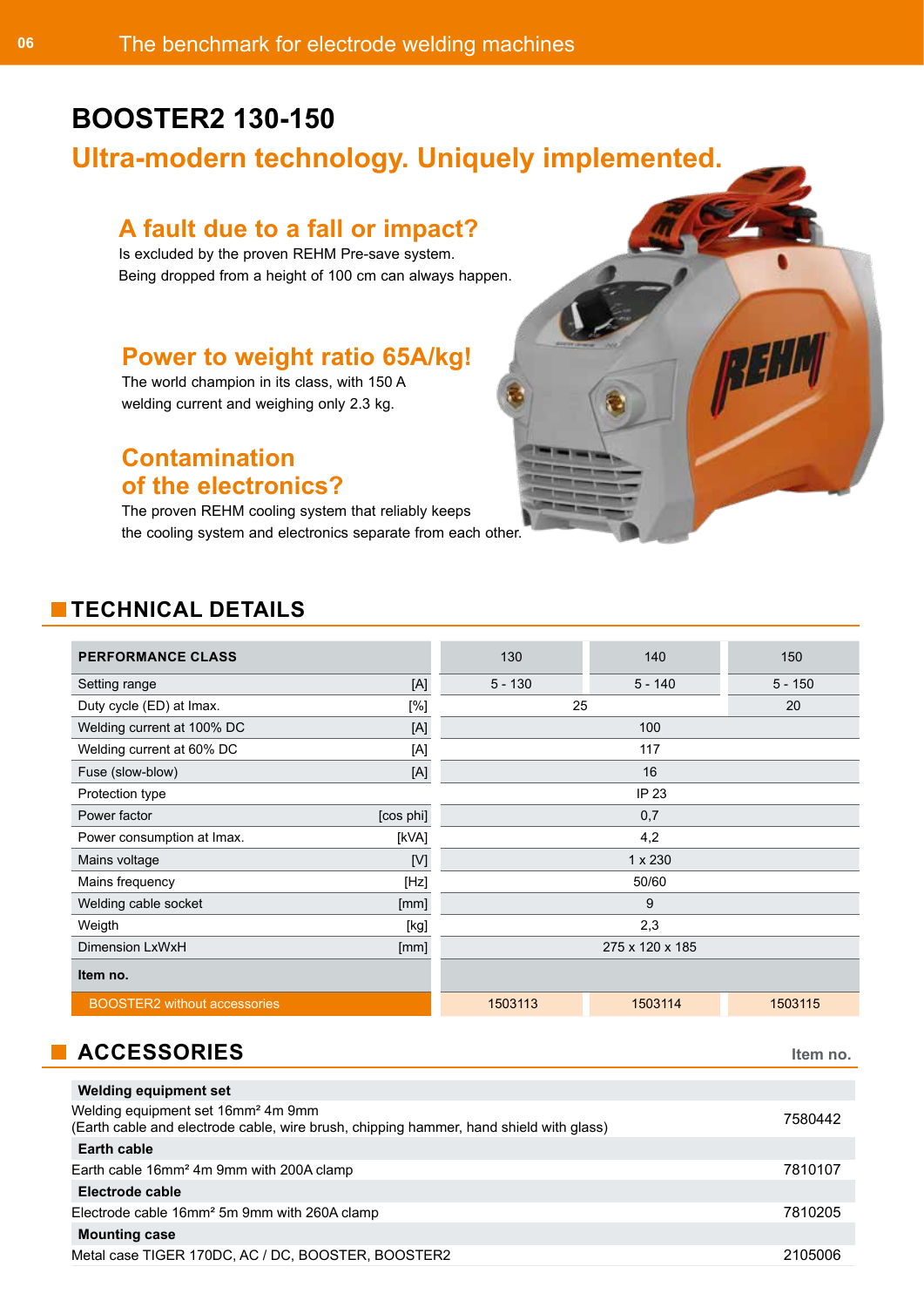# **BOOSTER2 130-150**

# **Ultra-modern technology. Uniquely implemented.**

# **A fault due to a fall or impact?**

Is excluded by the proven REHM Pre-save system. Being dropped from a height of 100 cm can always happen.

# **Power to weight ratio 65A/kg!**

The world champion in its class, with 150 A welding current and weighing only 2.3 kg.

# **Contamination of the electronics?**

The proven REHM cooling system that reliably keeps the cooling system and electronics separate from each other.

# **TECHNICAL DETAILS**

| <b>PERFORMANCE CLASS</b>            |             | 130             | 140          | 150       |
|-------------------------------------|-------------|-----------------|--------------|-----------|
| Setting range                       | [A]         | $5 - 130$       | $5 - 140$    | $5 - 150$ |
| Duty cycle (ED) at Imax.            | [%]         | 25              |              | 20        |
| Welding current at 100% DC          | $[{\sf A}]$ | 100             |              |           |
| Welding current at 60% DC           | [A]         | 117             |              |           |
| Fuse (slow-blow)                    | [A]         | 16              |              |           |
| Protection type                     |             |                 | <b>IP 23</b> |           |
| Power factor                        | [cos phi]   | 0,7             |              |           |
| Power consumption at Imax.          | [kVA]       | 4,2             |              |           |
| Mains voltage                       | [V]         | $1 \times 230$  |              |           |
| Mains frequency                     | [Hz]        | 50/60           |              |           |
| Welding cable socket                | [mm]        | 9               |              |           |
| Weigth                              | $[kg]$      | 2,3             |              |           |
| <b>Dimension LxWxH</b>              | [mm]        | 275 x 120 x 185 |              |           |
| Item no.                            |             |                 |              |           |
| <b>BOOSTER2</b> without accessories |             | 1503113         | 1503114      | 1503115   |

# **ACCESSORIES** Item no.

| <b>Welding equipment set</b>                                                                                                             |         |
|------------------------------------------------------------------------------------------------------------------------------------------|---------|
| Welding equipment set 16mm <sup>2</sup> 4m 9mm<br>(Earth cable and electrode cable, wire brush, chipping hammer, hand shield with glass) | 7580442 |
| Earth cable                                                                                                                              |         |
| Earth cable 16mm <sup>2</sup> 4m 9mm with 200A clamp                                                                                     | 7810107 |
| Electrode cable                                                                                                                          |         |
| Electrode cable 16mm <sup>2</sup> 5m 9mm with 260A clamp                                                                                 | 7810205 |
| <b>Mounting case</b>                                                                                                                     |         |
| Metal case TIGER 170DC, AC / DC, BOOSTER, BOOSTER2                                                                                       | 2105006 |
|                                                                                                                                          |         |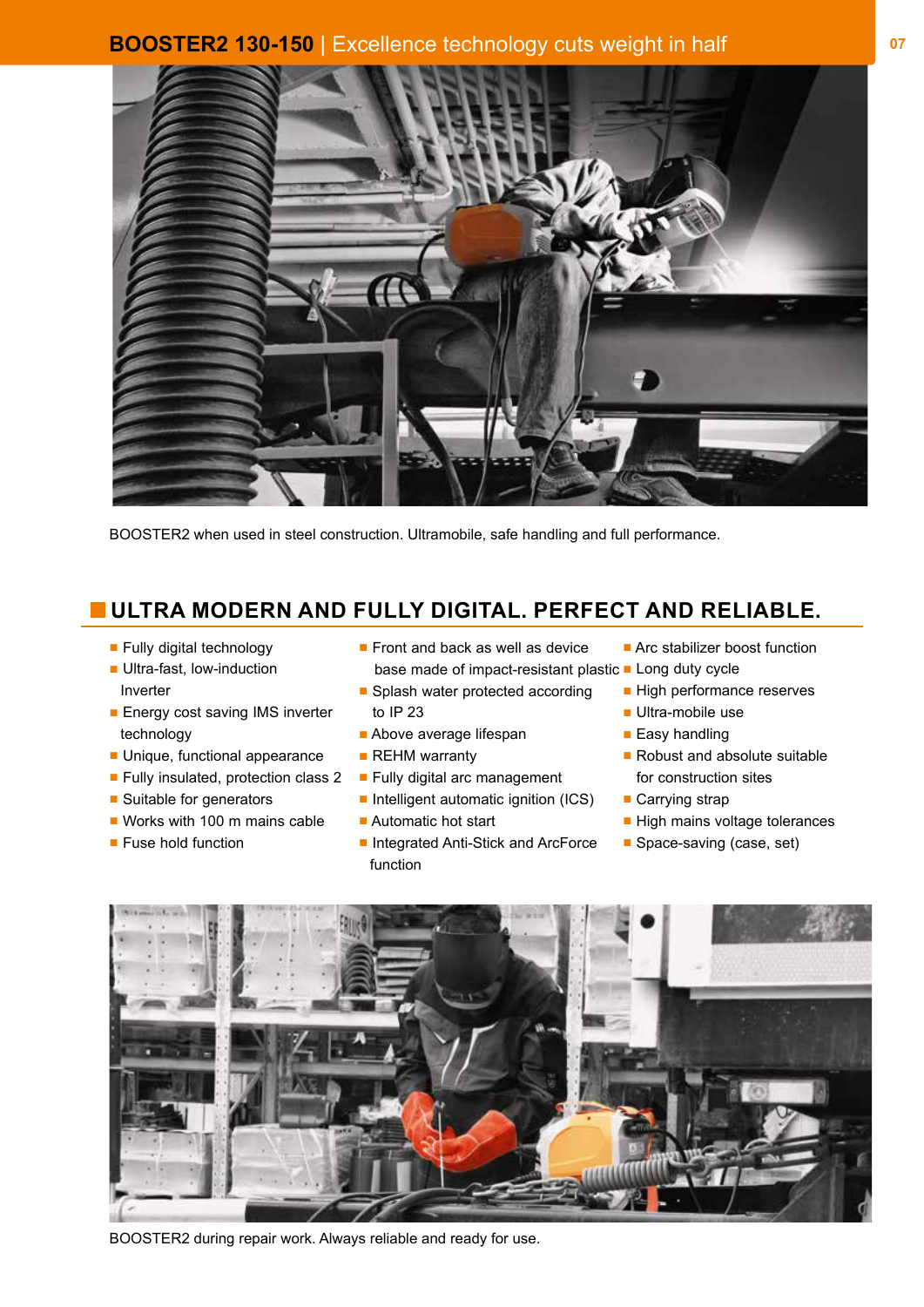

BOOSTER2 when used in steel construction. Ultramobile, safe handling and full performance.

# **ULTRA MODERN AND FULLY DIGITAL. PERFECT AND RELIABLE.**

- Fully digital technology
- Ultra-fast, low-induction Inverter
- Energy cost saving IMS inverter technology
- Unique, functional appearance
- Fully insulated, protection class 2
- Suitable for generators
- Works with 100 m mains cable
- Fuse hold function
- Front and back as well as device base made of impact-resistant plastic ■ Long duty cycle
- Splash water protected according to IP 23
- Above average lifespan
- REHM warranty
- Fully digital arc management
- Intelligent automatic ignition (ICS)
- Automatic hot start
- Integrated Anti-Stick and ArcForce function

■ Arc stabilizer boost function

- High performance reserves
- Ultra-mobile use
- Easy handling
- Robust and absolute suitable for construction sites
- Carrying strap
- High mains voltage tolerances
- Space-saving (case, set)



BOOSTER2 during repair work. Always reliable and ready for use.